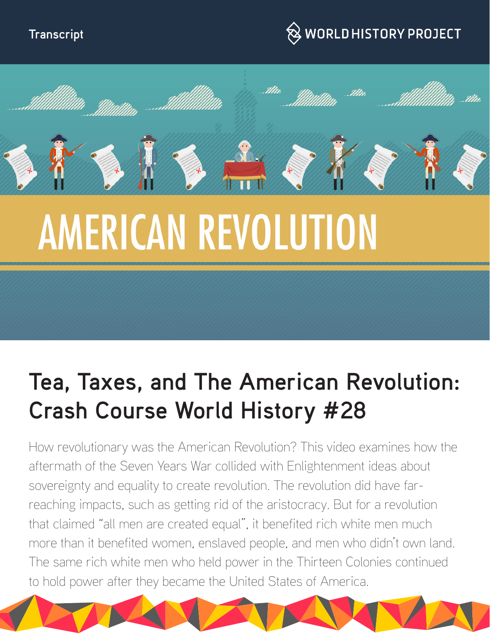



# **AMERICAN REVOLUTION**

# **Tea, Taxes, and The American Revolution: Crash Course World History #28**

How revolutionary was the American Revolution? This video examines how the aftermath of the Seven Years War collided with Enlightenment ideas about sovereignty and equality to create revolution. The revolution did have farreaching impacts, such as getting rid of the aristocracy. But for a revolution that claimed "all men are created equal", it benefited rich white men much more than it benefited women, enslaved people, and men who didn't own land. The same rich white men who held power in the Thirteen Colonies continued to hold power after they became the United States of America.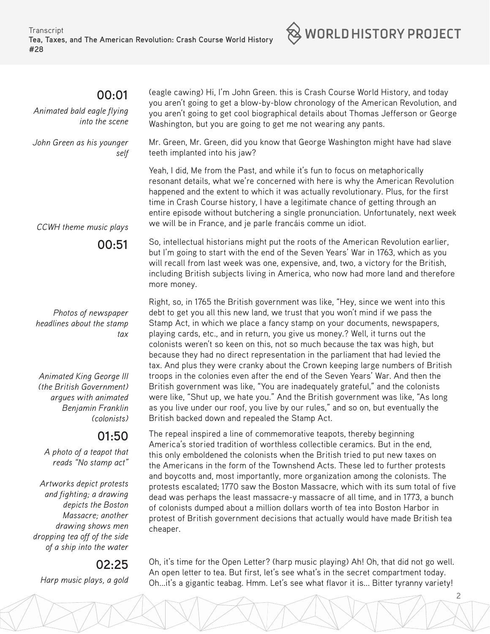#### **00:01**

*Animated bald eagle flying into the scene*

*John Green as his younger self* (eagle cawing) Hi, I'm John Green. this is Crash Course World History, and today you aren't going to get a blow-by-blow chronology of the American Revolution, and you aren't going to get cool biographical details about Thomas Jefferson or George Washington, but you are going to get me not wearing any pants.

 $\otimes$  world history project

Mr. Green, Mr. Green, did you know that George Washington might have had slave teeth implanted into his jaw?

Yeah, I did, Me from the Past, and while it's fun to focus on metaphorically resonant details, what we're concerned with here is why the American Revolution happened and the extent to which it was actually revolutionary. Plus, for the first time in Crash Course history, I have a legitimate chance of getting through an entire episode without butchering a single pronunciation. Unfortunately, next week we will be in France, and je parle francáis comme un idiot.

*CCWH theme music plays*

**00:51** 

*Photos of newspaper headlines about the stamp tax*

*Animated King George III (the British Government) argues with animated Benjamin Franklin (colonists)*

### **01:50**

*A photo of a teapot that reads "No stamp act"*

*Artworks depict protests and fighting; a drawing depicts the Boston Massacre; another drawing shows men dropping tea off of the side of a ship into the water*

#### **02:25**

*Harp music plays, a gold*

but I'm going to start with the end of the Seven Years' War in 1763, which as you will recall from last week was one, expensive, and, two, a victory for the British, including British subjects living in America, who now had more land and therefore more money. Right, so, in 1765 the British government was like, "Hey, since we went into this

So, intellectual historians might put the roots of the American Revolution earlier,

debt to get you all this new land, we trust that you won't mind if we pass the Stamp Act, in which we place a fancy stamp on your documents, newspapers, playing cards, etc., and in return, you give us money.? Well, it turns out the colonists weren't so keen on this, not so much because the tax was high, but because they had no direct representation in the parliament that had levied the tax. And plus they were cranky about the Crown keeping large numbers of British troops in the colonies even after the end of the Seven Years' War. And then the British government was like, "You are inadequately grateful," and the colonists were like, "Shut up, we hate you." And the British government was like, "As long as you live under our roof, you live by our rules," and so on, but eventually the British backed down and repealed the Stamp Act.

The repeal inspired a line of commemorative teapots, thereby beginning America's storied tradition of worthless collectible ceramics. But in the end, this only emboldened the colonists when the British tried to put new taxes on the Americans in the form of the Townshend Acts. These led to further protests and boycotts and, most importantly, more organization among the colonists. The protests escalated; 1770 saw the Boston Massacre, which with its sum total of five dead was perhaps the least massacre-y massacre of all time, and in 1773, a bunch of colonists dumped about a million dollars worth of tea into Boston Harbor in protest of British government decisions that actually would have made British tea cheaper.

Oh, it's time for the Open Letter? (harp music playing) Ah! Oh, that did not go well. An open letter to tea. But first, let's see what's in the secret compartment today. Oh...it's a gigantic teabag. Hmm. Let's see what flavor it is... Bitter tyranny variety!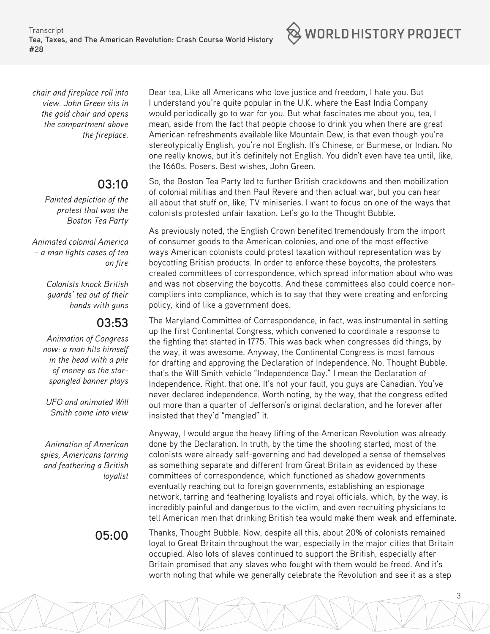**Transcript Tea, Taxes, and The American Revolution: Crash Course World History #28**

 $\otimes$  world history project

*chair and fireplace roll into view. John Green sits in the gold chair and opens the compartment above the fireplace.*

## **03:10**

*Painted depiction of the protest that was the Boston Tea Party*

*Animated colonial America – a man lights cases of tea on fire*

> *Colonists knock British guards' tea out of their hands with guns*

### **03:53**

*Animation of Congress now: a man hits himself in the head with a pile of money as the starspangled banner plays*

*UFO and animated Will Smith come into view*

*Animation of American spies, Americans tarring and feathering a British loyalist*

Dear tea, Like all Americans who love justice and freedom, I hate you. But I understand you're quite popular in the U.K. where the East India Company would periodically go to war for you. But what fascinates me about you, tea, I mean, aside from the fact that people choose to drink you when there are great American refreshments available like Mountain Dew, is that even though you're stereotypically English, you're not English. It's Chinese, or Burmese, or Indian. No one really knows, but it's definitely not English. You didn't even have tea until, like, the 1660s. Posers. Best wishes, John Green.

So, the Boston Tea Party led to further British crackdowns and then mobilization of colonial militias and then Paul Revere and then actual war, but you can hear all about that stuff on, like, TV miniseries. I want to focus on one of the ways that colonists protested unfair taxation. Let's go to the Thought Bubble.

As previously noted, the English Crown benefited tremendously from the import of consumer goods to the American colonies, and one of the most effective ways American colonists could protest taxation without representation was by boycotting British products. In order to enforce these boycotts, the protesters created committees of correspondence, which spread information about who was and was not observing the boycotts. And these committees also could coerce noncompliers into compliance, which is to say that they were creating and enforcing policy, kind of like a government does.

The Maryland Committee of Correspondence, in fact, was instrumental in setting up the first Continental Congress, which convened to coordinate a response to the fighting that started in 1775. This was back when congresses did things, by the way, it was awesome. Anyway, the Continental Congress is most famous for drafting and approving the Declaration of Independence. No, Thought Bubble, that's the Will Smith vehicle "Independence Day." I mean the Declaration of Independence. Right, that one. It's not your fault, you guys are Canadian. You've never declared independence. Worth noting, by the way, that the congress edited out more than a quarter of Jefferson's original declaration, and he forever after insisted that they'd "mangled" it.

Anyway, I would argue the heavy lifting of the American Revolution was already done by the Declaration. In truth, by the time the shooting started, most of the colonists were already self-governing and had developed a sense of themselves as something separate and different from Great Britain as evidenced by these committees of correspondence, which functioned as shadow governments eventually reaching out to foreign governments, establishing an espionage network, tarring and feathering loyalists and royal officials, which, by the way, is incredibly painful and dangerous to the victim, and even recruiting physicians to tell American men that drinking British tea would make them weak and effeminate.

**05:00** Thanks, Thought Bubble. Now, despite all this, about 20% of colonists remained loyal to Great Britain throughout the war, especially in the major cities that Britain occupied. Also lots of slaves continued to support the British, especially after Britain promised that any slaves who fought with them would be freed. And it's worth noting that while we generally celebrate the Revolution and see it as a step

3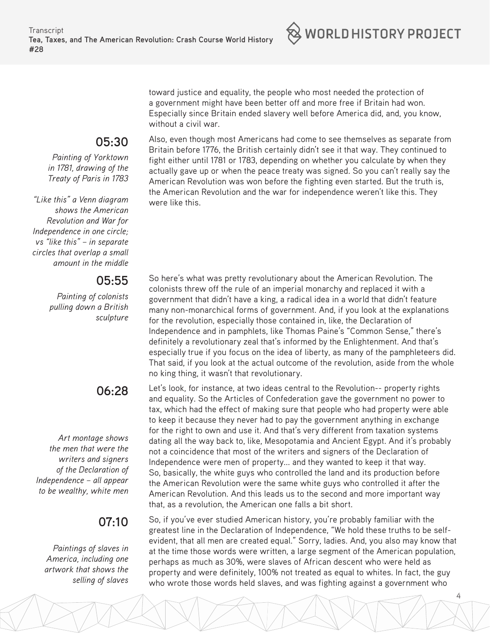

toward justice and equality, the people who most needed the protection of a government might have been better off and more free if Britain had won. Especially since Britain ended slavery well before America did, and, you know, without a civil war.

Also, even though most Americans had come to see themselves as separate from Britain before 1776, the British certainly didn't see it that way. They continued to fight either until 1781 or 1783, depending on whether you calculate by when they actually gave up or when the peace treaty was signed. So you can't really say the American Revolution was won before the fighting even started. But the truth is, the American Revolution and the war for independence weren't like this. They were like this.

So here's what was pretty revolutionary about the American Revolution. The colonists threw off the rule of an imperial monarchy and replaced it with a government that didn't have a king, a radical idea in a world that didn't feature many non-monarchical forms of government. And, if you look at the explanations for the revolution, especially those contained in, like, the Declaration of Independence and in pamphlets, like Thomas Paine's "Common Sense," there's definitely a revolutionary zeal that's informed by the Enlightenment. And that's especially true if you focus on the idea of liberty, as many of the pamphleteers did. That said, if you look at the actual outcome of the revolution, aside from the whole no king thing, it wasn't that revolutionary.

Let's look, for instance, at two ideas central to the Revolution-- property rights and equality. So the Articles of Confederation gave the government no power to tax, which had the effect of making sure that people who had property were able to keep it because they never had to pay the government anything in exchange for the right to own and use it. And that's very different from taxation systems dating all the way back to, like, Mesopotamia and Ancient Egypt. And it's probably not a coincidence that most of the writers and signers of the Declaration of Independence were men of property... and they wanted to keep it that way. So, basically, the white guys who controlled the land and its production before the American Revolution were the same white guys who controlled it after the American Revolution. And this leads us to the second and more important way that, as a revolution, the American one falls a bit short.

So, if you've ever studied American history, you're probably familiar with the greatest line in the Declaration of Independence, "We hold these truths to be selfevident, that all men are created equal." Sorry, ladies. And, you also may know that at the time those words were written, a large segment of the American population, perhaps as much as 30%, were slaves of African descent who were held as property and were definitely, 100% not treated as equal to whites. In fact, the guy who wrote those words held slaves, and was fighting against a government who

4

#### **05:30**

*Painting of Yorktown in 1781, drawing of the Treaty of Paris in 1783*

*"Like this" a Venn diagram shows the American Revolution and War for Independence in one circle; vs "like this" – in separate circles that overlap a small amount in the middle*

#### **05:55**

*Painting of colonists pulling down a British sculpture* 

### **06:28**

*Art montage shows the men that were the writers and signers of the Declaration of Independence – all appear to be wealthy, white men*

### **07:10**

*Paintings of slaves in America, including one artwork that shows the selling of slaves*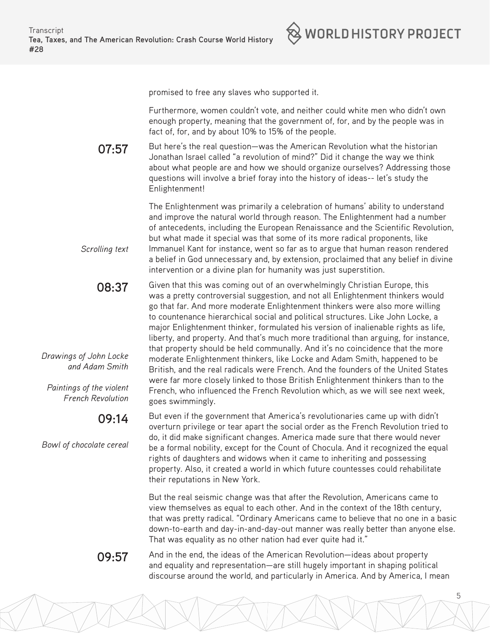

promised to free any slaves who supported it.

Furthermore, women couldn't vote, and neither could white men who didn't own enough property, meaning that the government of, for, and by the people was in fact of, for, and by about 10% to 15% of the people.

**07:57**  But here's the real question—was the American Revolution what the historian Jonathan Israel called "a revolution of mind?" Did it change the way we think about what people are and how we should organize ourselves? Addressing those questions will involve a brief foray into the history of ideas-- let's study the Enlightenment!

> The Enlightenment was primarily a celebration of humans' ability to understand and improve the natural world through reason. The Enlightenment had a number of antecedents, including the European Renaissance and the Scientific Revolution, but what made it special was that some of its more radical proponents, like Immanuel Kant for instance, went so far as to argue that human reason rendered a belief in God unnecessary and, by extension, proclaimed that any belief in divine intervention or a divine plan for humanity was just superstition.

**08:37**  Given that this was coming out of an overwhelmingly Christian Europe, this was a pretty controversial suggestion, and not all Enlightenment thinkers would go that far. And more moderate Enlightenment thinkers were also more willing to countenance hierarchical social and political structures. Like John Locke, a major Enlightenment thinker, formulated his version of inalienable rights as life, liberty, and property. And that's much more traditional than arguing, for instance, that property should be held communally. And it's no coincidence that the more moderate Enlightenment thinkers, like Locke and Adam Smith, happened to be British, and the real radicals were French. And the founders of the United States were far more closely linked to those British Enlightenment thinkers than to the French, who influenced the French Revolution which, as we will see next week, goes swimmingly.

> But even if the government that America's revolutionaries came up with didn't overturn privilege or tear apart the social order as the French Revolution tried to do, it did make significant changes. America made sure that there would never be a formal nobility, except for the Count of Chocula. And it recognized the equal rights of daughters and widows when it came to inheriting and possessing property. Also, it created a world in which future countesses could rehabilitate their reputations in New York.

But the real seismic change was that after the Revolution, Americans came to view themselves as equal to each other. And in the context of the 18th century, that was pretty radical. "Ordinary Americans came to believe that no one in a basic down-to-earth and day-in-and-day-out manner was really better than anyone else. That was equality as no other nation had ever quite had it."

5

**09:57** And in the end, the ideas of the American Revolution—ideas about property and equality and representation—are still hugely important in shaping political discourse around the world, and particularly in America. And by America, I mean

*Drawings of John Locke and Adam Smith*

*Scrolling text*

*Paintings of the violent French Revolution*

### **09:14**

*Bowl of chocolate cereal*